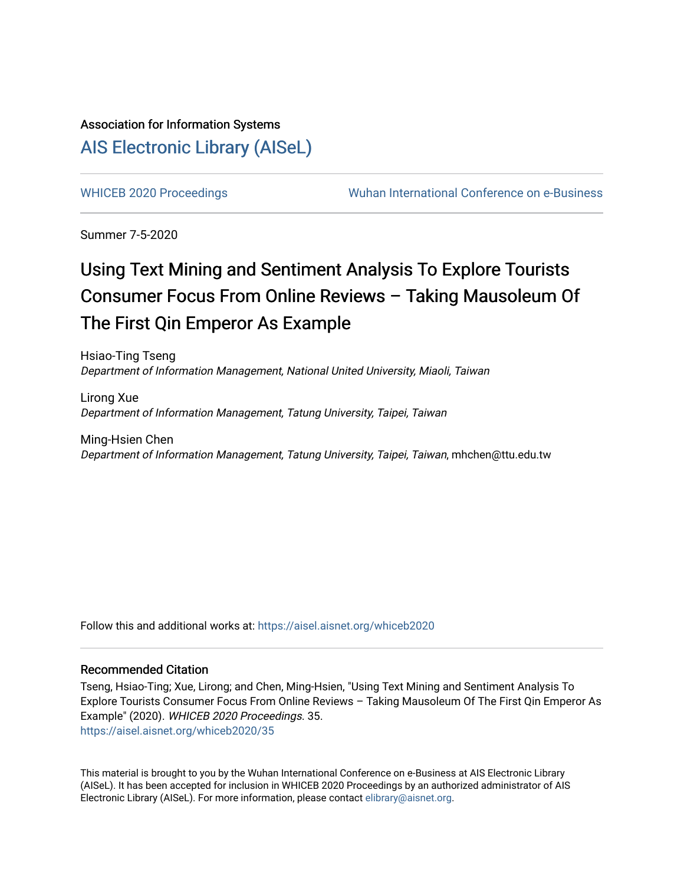## Association for Information Systems [AIS Electronic Library \(AISeL\)](https://aisel.aisnet.org/)

[WHICEB 2020 Proceedings](https://aisel.aisnet.org/whiceb2020) Wuhan International Conference on e-Business

Summer 7-5-2020

# Using Text Mining and Sentiment Analysis To Explore Tourists Consumer Focus From Online Reviews - Taking Mausoleum Of The First Qin Emperor As Example

Hsiao-Ting Tseng Department of Information Management, National United University, Miaoli, Taiwan

Lirong Xue Department of Information Management, Tatung University, Taipei, Taiwan

Ming-Hsien Chen Department of Information Management, Tatung University, Taipei, Taiwan, mhchen@ttu.edu.tw

Follow this and additional works at: [https://aisel.aisnet.org/whiceb2020](https://aisel.aisnet.org/whiceb2020?utm_source=aisel.aisnet.org%2Fwhiceb2020%2F35&utm_medium=PDF&utm_campaign=PDFCoverPages)

#### Recommended Citation

Tseng, Hsiao-Ting; Xue, Lirong; and Chen, Ming-Hsien, "Using Text Mining and Sentiment Analysis To Explore Tourists Consumer Focus From Online Reviews – Taking Mausoleum Of The First Qin Emperor As Example" (2020). WHICEB 2020 Proceedings. 35. [https://aisel.aisnet.org/whiceb2020/35](https://aisel.aisnet.org/whiceb2020/35?utm_source=aisel.aisnet.org%2Fwhiceb2020%2F35&utm_medium=PDF&utm_campaign=PDFCoverPages) 

This material is brought to you by the Wuhan International Conference on e-Business at AIS Electronic Library (AISeL). It has been accepted for inclusion in WHICEB 2020 Proceedings by an authorized administrator of AIS Electronic Library (AISeL). For more information, please contact [elibrary@aisnet.org.](mailto:elibrary@aisnet.org%3E)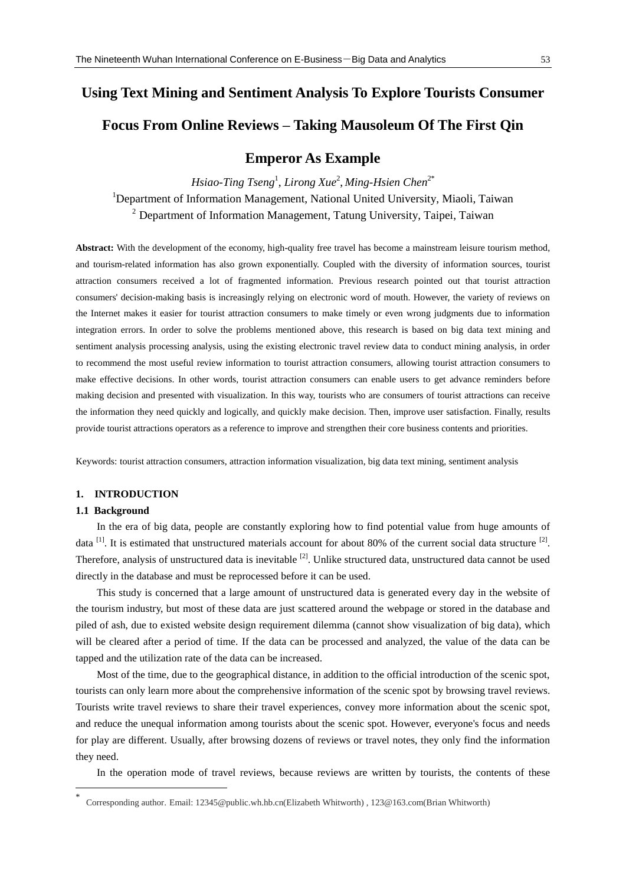### **Using Text Mining and Sentiment Analysis To Explore Tourists Consumer**

## **Focus From Online Reviews – Taking Mausoleum Of The First Qin**

## **Emperor As Example**

*Hsiao-Ting Tseng*<sup>1</sup> , *Lirong Xue*<sup>2</sup> , *Ming-Hsien Chen* 2\* <sup>1</sup>Department of Information Management, National United University, Miaoli, Taiwan <sup>2</sup> Department of Information Management, Tatung University, Taipei, Taiwan

**Abstract:** With the development of the economy, high-quality free travel has become a mainstream leisure tourism method, and tourism-related information has also grown exponentially. Coupled with the diversity of information sources, tourist attraction consumers received a lot of fragmented information. Previous research pointed out that tourist attraction consumers' decision-making basis is increasingly relying on electronic word of mouth. However, the variety of reviews on the Internet makes it easier for tourist attraction consumers to make timely or even wrong judgments due to information integration errors. In order to solve the problems mentioned above, this research is based on big data text mining and sentiment analysis processing analysis, using the existing electronic travel review data to conduct mining analysis, in order to recommend the most useful review information to tourist attraction consumers, allowing tourist attraction consumers to make effective decisions. In other words, tourist attraction consumers can enable users to get advance reminders before making decision and presented with visualization. In this way, tourists who are consumers of tourist attractions can receive the information they need quickly and logically, and quickly make decision. Then, improve user satisfaction. Finally, results provide tourist attractions operators as a reference to improve and strengthen their core business contents and priorities.

Keywords: tourist attraction consumers, attraction information visualization, big data text mining, sentiment analysis

#### **1. INTRODUCTION**

#### **1.1 Background**

-

In the era of big data, people are constantly exploring how to find potential value from huge amounts of data  $^{[1]}$ . It is estimated that unstructured materials account for about 80% of the current social data structure  $^{[2]}$ . Therefore, analysis of unstructured data is inevitable <sup>[2]</sup>. Unlike structured data, unstructured data cannot be used directly in the database and must be reprocessed before it can be used.

This study is concerned that a large amount of unstructured data is generated every day in the website of the tourism industry, but most of these data are just scattered around the webpage or stored in the database and piled of ash, due to existed website design requirement dilemma (cannot show visualization of big data), which will be cleared after a period of time. If the data can be processed and analyzed, the value of the data can be tapped and the utilization rate of the data can be increased.

Most of the time, due to the geographical distance, in addition to the official introduction of the scenic spot, tourists can only learn more about the comprehensive information of the scenic spot by browsing travel reviews. Tourists write travel reviews to share their travel experiences, convey more information about the scenic spot, and reduce the unequal information among tourists about the scenic spot. However, everyone's focus and needs for play are different. Usually, after browsing dozens of reviews or travel notes, they only find the information they need.

In the operation mode of travel reviews, because reviews are written by tourists, the contents of these

<sup>\*</sup> Corresponding author. Email: 12345@public.wh.hb.cn(Elizabeth Whitworth) , 123@163.com(Brian Whitworth)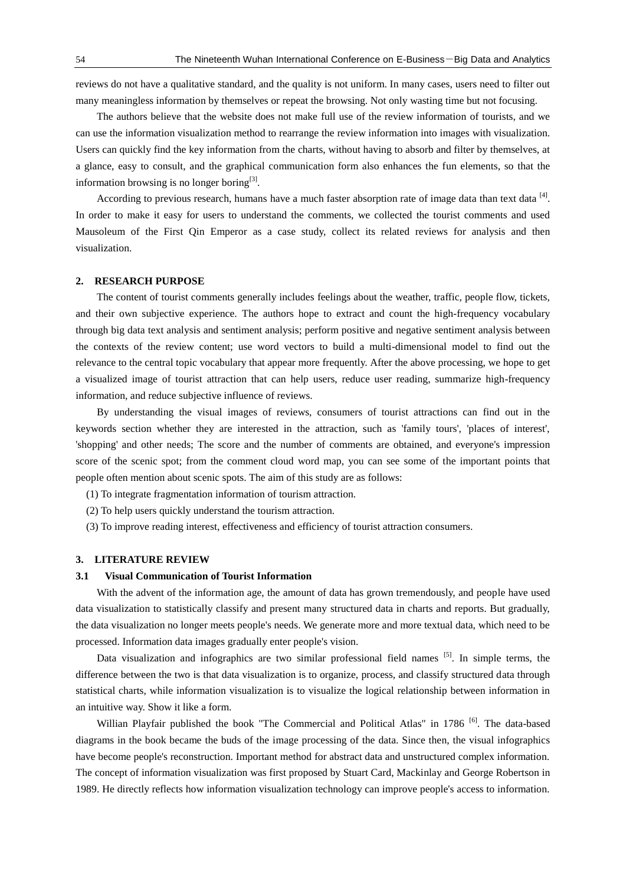reviews do not have a qualitative standard, and the quality is not uniform. In many cases, users need to filter out many meaningless information by themselves or repeat the browsing. Not only wasting time but not focusing.

The authors believe that the website does not make full use of the review information of tourists, and we can use the information visualization method to rearrange the review information into images with visualization. Users can quickly find the key information from the charts, without having to absorb and filter by themselves, at a glance, easy to consult, and the graphical communication form also enhances the fun elements, so that the information browsing is no longer boring $^{[3]}$ .

According to previous research, humans have a much faster absorption rate of image data than text data  $^{[4]}$ . In order to make it easy for users to understand the comments, we collected the tourist comments and used Mausoleum of the First Qin Emperor as a case study, collect its related reviews for analysis and then visualization.

#### **2. RESEARCH PURPOSE**

The content of tourist comments generally includes feelings about the weather, traffic, people flow, tickets, and their own subjective experience. The authors hope to extract and count the high-frequency vocabulary through big data text analysis and sentiment analysis; perform positive and negative sentiment analysis between the contexts of the review content; use word vectors to build a multi-dimensional model to find out the relevance to the central topic vocabulary that appear more frequently. After the above processing, we hope to get a visualized image of tourist attraction that can help users, reduce user reading, summarize high-frequency information, and reduce subjective influence of reviews.

By understanding the visual images of reviews, consumers of tourist attractions can find out in the keywords section whether they are interested in the attraction, such as 'family tours', 'places of interest', 'shopping' and other needs; The score and the number of comments are obtained, and everyone's impression score of the scenic spot; from the comment cloud word map, you can see some of the important points that people often mention about scenic spots. The aim of this study are as follows:

- (1) To integrate fragmentation information of tourism attraction.
- (2) To help users quickly understand the tourism attraction.
- (3) To improve reading interest, effectiveness and efficiency of tourist attraction consumers.

#### **3. LITERATURE REVIEW**

#### **3.1 Visual Communication of Tourist Information**

With the advent of the information age, the amount of data has grown tremendously, and people have used data visualization to statistically classify and present many structured data in charts and reports. But gradually, the data visualization no longer meets people's needs. We generate more and more textual data, which need to be processed. Information data images gradually enter people's vision.

Data visualization and infographics are two similar professional field names [5]. In simple terms, the difference between the two is that data visualization is to organize, process, and classify structured data through statistical charts, while information visualization is to visualize the logical relationship between information in an intuitive way. Show it like a form.

Willian Playfair published the book "The Commercial and Political Atlas" in 1786 <sup>[6]</sup>. The data-based diagrams in the book became the buds of the image processing of the data. Since then, the visual infographics have become people's reconstruction. Important method for abstract data and unstructured complex information. The concept of information visualization was first proposed by Stuart Card, Mackinlay and George Robertson in 1989. He directly reflects how information visualization technology can improve people's access to information.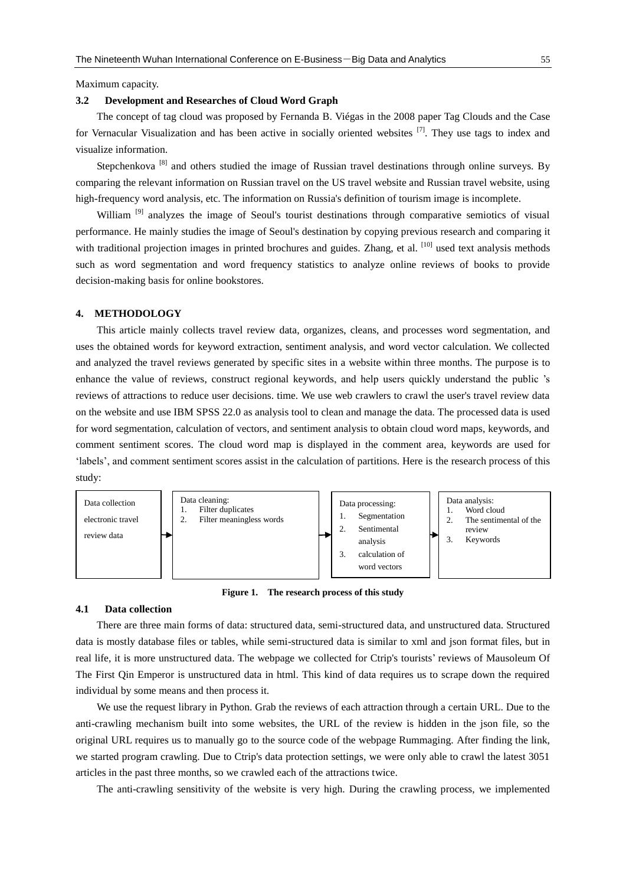Maximum capacity.

#### **3.2 Development and Researches of Cloud Word Graph**

The concept of tag cloud was proposed by Fernanda B. Viégas in the 2008 paper Tag Clouds and the Case for Vernacular Visualization and has been active in socially oriented websites [7]. They use tags to index and visualize information.

Stepchenkova<sup>[8]</sup> and others studied the image of Russian travel destinations through online surveys. By comparing the relevant information on Russian travel on the US travel website and Russian travel website, using high-frequency word analysis, etc. The information on Russia's definition of tourism image is incomplete.

William<sup>[9]</sup> analyzes the image of Seoul's tourist destinations through comparative semiotics of visual performance. He mainly studies the image of Seoul's destination by copying previous research and comparing it with traditional projection images in printed brochures and guides. Zhang, et al. [10] used text analysis methods such as word segmentation and word frequency statistics to analyze online reviews of books to provide decision-making basis for online bookstores.

#### **4. METHODOLOGY**

This article mainly collects travel review data, organizes, cleans, and processes word segmentation, and uses the obtained words for keyword extraction, sentiment analysis, and word vector calculation. We collected and analyzed the travel reviews generated by specific sites in a website within three months. The purpose is to enhance the value of reviews, construct regional keywords, and help users quickly understand the public 's reviews of attractions to reduce user decisions. time. We use web crawlers to crawl the user's travel review data on the website and use IBM SPSS 22.0 as analysis tool to clean and manage the data. The processed data is used for word segmentation, calculation of vectors, and sentiment analysis to obtain cloud word maps, keywords, and comment sentiment scores. The cloud word map is displayed in the comment area, keywords are used for 'labels', and comment sentiment scores assist in the calculation of partitions. Here is the research process of this study:



**Figure 1. The research process of this study**

#### **4.1 Data collection**

There are three main forms of data: structured data, semi-structured data, and unstructured data. Structured data is mostly database files or tables, while semi-structured data is similar to xml and json format files, but in real life, it is more unstructured data. The webpage we collected for Ctrip's tourists' reviews of Mausoleum Of The First Qin Emperor is unstructured data in html. This kind of data requires us to scrape down the required individual by some means and then process it.

We use the request library in Python. Grab the reviews of each attraction through a certain URL. Due to the anti-crawling mechanism built into some websites, the URL of the review is hidden in the json file, so the original URL requires us to manually go to the source code of the webpage Rummaging. After finding the link, we started program crawling. Due to Ctrip's data protection settings, we were only able to crawl the latest 3051 articles in the past three months, so we crawled each of the attractions twice.

The anti-crawling sensitivity of the website is very high. During the crawling process, we implemented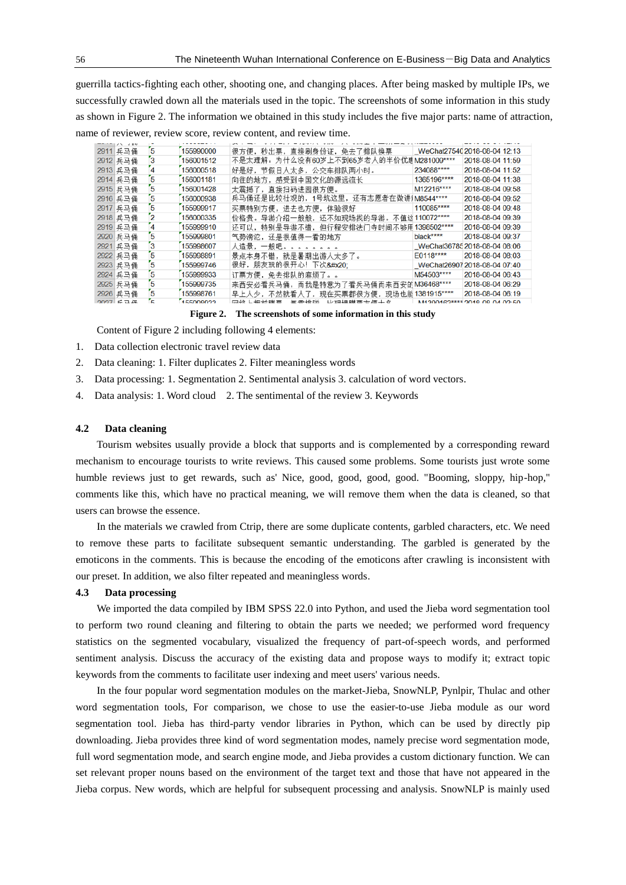guerrilla tactics-fighting each other, shooting one, and changing places. After being masked by multiple IPs, we successfully crawled down all the materials used in the topic. The screenshots of some information in this study as shown in Figure 2. The information we obtained in this study includes the five major parts: name of attraction, name of reviewer, review score, review content, and review time.

| 2911 兵马俑        |   | 155990000 | 很方便,秒出票,直接刷身份证,免去了排队换票                 |             | WeChat27540 2018-08-04 12:13  |
|-----------------|---|-----------|----------------------------------------|-------------|-------------------------------|
| 2912 兵马俑        |   | 156001512 | 不是太理解:为什么没有60岁上不到65岁老人的半价优惠M281009**** |             | 2018-08-04 11:59              |
| 2913 兵马俑        |   | 156000518 | 好是好,节假日人太多,公交车排队两小时。                   | 234088****  | 2018-08-04 11:52              |
| 2914 兵马俑        |   | 156001181 | 向往的地方,感受到中国文化的源远流长                     | 1365196**** | 2018-08-04 11:38              |
| 2915 兵马俑        |   | 156001428 | 太震撼了,直接扫码进园很方便。                        | M12216****  | 2018-08-04 09:58              |
| 2916 兵马俑        |   | 156000938 | 兵马俑还是比较壮观的,1号坑这里,还有志愿者在做讲jM8544****    |             | 2018-08-04 09:52              |
| 2917 兵马俑        | 5 | 155999917 | 买票特别方便,进去也方便,体验很好                      | 110085****  | 2018-08-04 09:48              |
| 2918 兵马俑        |   | 156000335 | 价格贵。导游介绍一般般, 还不如现场找的导游。不值这110072****   |             | 2018-08-04 09:39              |
| 2919 兵马俑        |   | 155999910 | 还可以,特别是导游不错,但行程安排法门寺时间不够用1398502****   |             | 2018-08-04 09:39              |
| 2920 兵马俑        | 5 | 155999801 | 气势滂沱,还是很值得一看的地方                        | black****   | 2018-08-04 09:37              |
| 2921 兵马俑        |   | 155998607 | 人造景,一般吧。。。。。。。。                        |             | WeChat36785 2018-08-04 08:06  |
| 2922 兵马俑        |   | 155998891 | 景点本身不错,就是暑期出游人太多了。                     | $E0118***$  | 2018-08-04 08:03              |
| 2923 兵马俑        | 5 | 155999746 | 很好,朋友玩的很开心!下次                          |             | WeChat26907 2018-08-04 07:40  |
| 2924 兵马俑        |   | 155999933 | 订票方便, 免去排队的麻烦了。。                       | M54503****  | 2018-08-04 06:43              |
| 2925 兵马俑        | 5 | 155999735 | 来西安必看兵马俑,而我是特意为了看兵马俑而来西安的M36468****    |             | 2018-08-04 06:29              |
| 2926 兵马俑        | 5 | 155998761 | 早上人少,不然就看人了,现在买票都很方便,现场也能1381915****   |             | 2018-08-04 06:19              |
| $2027 \div 7.7$ |   | 155008033 | 网纹上坦益眯西<br>無電世院<br>比玛提眯西亡师十女           |             | M1200162**** 2018 08 04 02 50 |

**Figure 2. The screenshots of some information in this study**

Content of Figure 2 including following 4 elements:

- 1. Data collection electronic travel review data
- 2. Data cleaning: 1. Filter duplicates 2. Filter meaningless words
- 3. Data processing: 1. Segmentation 2. Sentimental analysis 3. calculation of word vectors.
- 4. Data analysis: 1. Word cloud 2. The sentimental of the review 3. Keywords

#### **4.2 Data cleaning**

Tourism websites usually provide a block that supports and is complemented by a corresponding reward mechanism to encourage tourists to write reviews. This caused some problems. Some tourists just wrote some humble reviews just to get rewards, such as' Nice, good, good, good, good. "Booming, sloppy, hip-hop," comments like this, which have no practical meaning, we will remove them when the data is cleaned, so that users can browse the essence.

In the materials we crawled from Ctrip, there are some duplicate contents, garbled characters, etc. We need to remove these parts to facilitate subsequent semantic understanding. The garbled is generated by the emoticons in the comments. This is because the encoding of the emoticons after crawling is inconsistent with our preset. In addition, we also filter repeated and meaningless words.

#### **4.3 Data processing**

We imported the data compiled by IBM SPSS 22.0 into Python, and used the Jieba word segmentation tool to perform two round cleaning and filtering to obtain the parts we needed; we performed word frequency statistics on the segmented vocabulary, visualized the frequency of part-of-speech words, and performed sentiment analysis. Discuss the accuracy of the existing data and propose ways to modify it; extract topic keywords from the comments to facilitate user indexing and meet users' various needs.

In the four popular word segmentation modules on the market-Jieba, SnowNLP, Pynlpir, Thulac and other word segmentation tools, For comparison, we chose to use the easier-to-use Jieba module as our word segmentation tool. Jieba has third-party vendor libraries in Python, which can be used by directly pip downloading. Jieba provides three kind of word segmentation modes, namely precise word segmentation mode, full word segmentation mode, and search engine mode, and Jieba provides a custom dictionary function. We can set relevant proper nouns based on the environment of the target text and those that have not appeared in the Jieba corpus. New words, which are helpful for subsequent processing and analysis. SnowNLP is mainly used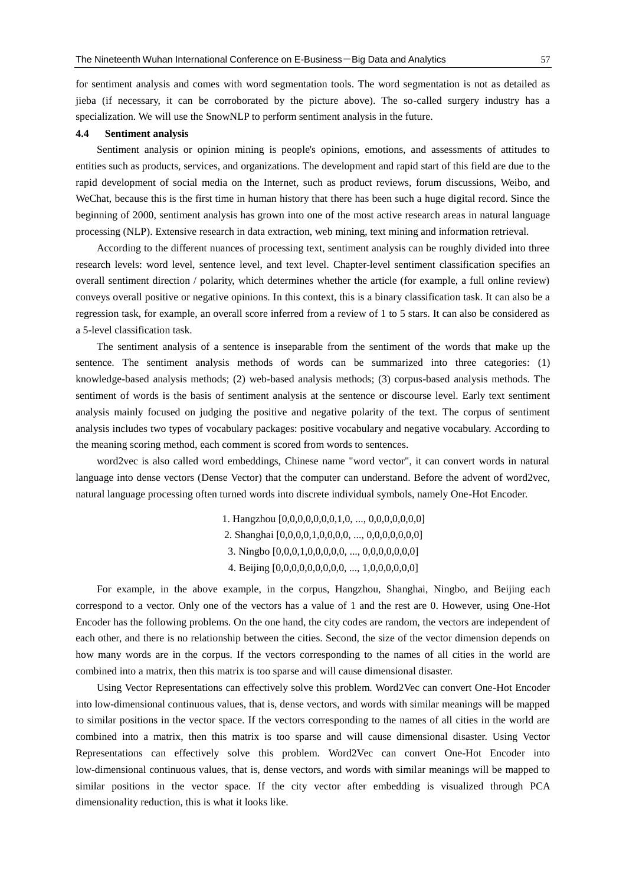for sentiment analysis and comes with word segmentation tools. The word segmentation is not as detailed as jieba (if necessary, it can be corroborated by the picture above). The so-called surgery industry has a specialization. We will use the SnowNLP to perform sentiment analysis in the future.

#### **4.4 Sentiment analysis**

Sentiment analysis or opinion mining is people's opinions, emotions, and assessments of attitudes to entities such as products, services, and organizations. The development and rapid start of this field are due to the rapid development of social media on the Internet, such as product reviews, forum discussions, Weibo, and WeChat, because this is the first time in human history that there has been such a huge digital record. Since the beginning of 2000, sentiment analysis has grown into one of the most active research areas in natural language processing (NLP). Extensive research in data extraction, web mining, text mining and information retrieval.

According to the different nuances of processing text, sentiment analysis can be roughly divided into three research levels: word level, sentence level, and text level. Chapter-level sentiment classification specifies an overall sentiment direction / polarity, which determines whether the article (for example, a full online review) conveys overall positive or negative opinions. In this context, this is a binary classification task. It can also be a regression task, for example, an overall score inferred from a review of 1 to 5 stars. It can also be considered as a 5-level classification task.

The sentiment analysis of a sentence is inseparable from the sentiment of the words that make up the sentence. The sentiment analysis methods of words can be summarized into three categories: (1) knowledge-based analysis methods; (2) web-based analysis methods; (3) corpus-based analysis methods. The sentiment of words is the basis of sentiment analysis at the sentence or discourse level. Early text sentiment analysis mainly focused on judging the positive and negative polarity of the text. The corpus of sentiment analysis includes two types of vocabulary packages: positive vocabulary and negative vocabulary. According to the meaning scoring method, each comment is scored from words to sentences.

word2vec is also called word embeddings, Chinese name "word vector", it can convert words in natural language into dense vectors (Dense Vector) that the computer can understand. Before the advent of word2vec, natural language processing often turned words into discrete individual symbols, namely One-Hot Encoder.

> 1. Hangzhou [0,0,0,0,0,0,0,1,0, ..., 0,0,0,0,0,0,0] 2. Shanghai [0,0,0,0,1,0,0,0,0, ..., 0,0,0,0,0,0,0] 3. Ningbo [0,0,0,1,0,0,0,0,0, ..., 0,0,0,0,0,0,0] 4. Beijing [0,0,0,0,0,0,0,0,0, ..., 1,0,0,0,0,0,0]

For example, in the above example, in the corpus, Hangzhou, Shanghai, Ningbo, and Beijing each correspond to a vector. Only one of the vectors has a value of 1 and the rest are 0. However, using One-Hot Encoder has the following problems. On the one hand, the city codes are random, the vectors are independent of each other, and there is no relationship between the cities. Second, the size of the vector dimension depends on how many words are in the corpus. If the vectors corresponding to the names of all cities in the world are combined into a matrix, then this matrix is too sparse and will cause dimensional disaster.

Using Vector Representations can effectively solve this problem. Word2Vec can convert One-Hot Encoder into low-dimensional continuous values, that is, dense vectors, and words with similar meanings will be mapped to similar positions in the vector space. If the vectors corresponding to the names of all cities in the world are combined into a matrix, then this matrix is too sparse and will cause dimensional disaster. Using Vector Representations can effectively solve this problem. Word2Vec can convert One-Hot Encoder into low-dimensional continuous values, that is, dense vectors, and words with similar meanings will be mapped to similar positions in the vector space. If the city vector after embedding is visualized through PCA dimensionality reduction, this is what it looks like.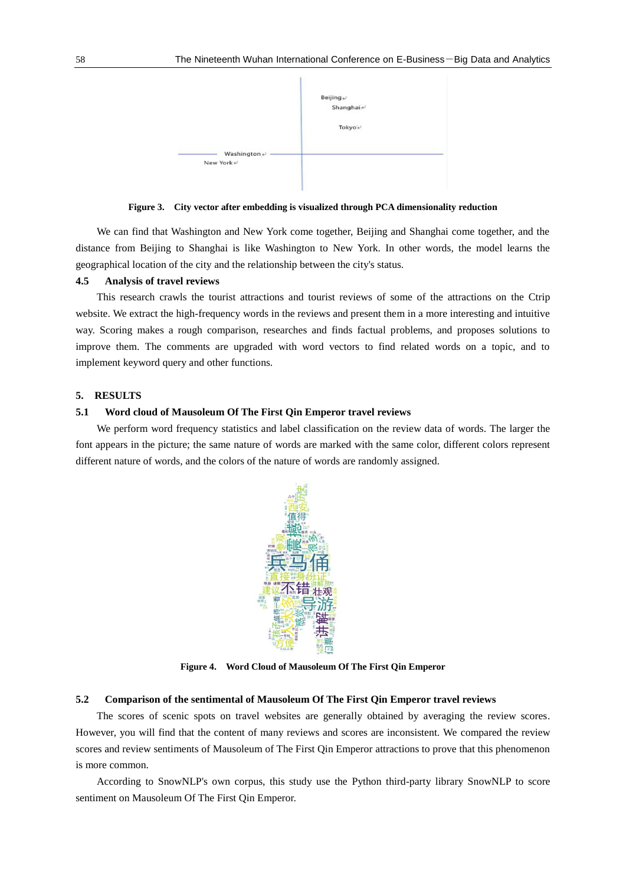

**Figure 3. City vector after embedding is visualized through PCA dimensionality reduction**

We can find that Washington and New York come together, Beijing and Shanghai come together, and the distance from Beijing to Shanghai is like Washington to New York. In other words, the model learns the geographical location of the city and the relationship between the city's status.

#### **4.5 Analysis of travel reviews**

This research crawls the tourist attractions and tourist reviews of some of the attractions on the Ctrip website. We extract the high-frequency words in the reviews and present them in a more interesting and intuitive way. Scoring makes a rough comparison, researches and finds factual problems, and proposes solutions to improve them. The comments are upgraded with word vectors to find related words on a topic, and to implement keyword query and other functions.

#### **5. RESULTS**

#### **5.1 Word cloud of Mausoleum Of The First Qin Emperor travel reviews**

We perform word frequency statistics and label classification on the review data of words. The larger the font appears in the picture; the same nature of words are marked with the same color, different colors represent different nature of words, and the colors of the nature of words are randomly assigned.



**Figure 4. Word Cloud of Mausoleum Of The First Qin Emperor**

#### **5.2 Comparison of the sentimental of Mausoleum Of The First Qin Emperor travel reviews**

The scores of scenic spots on travel websites are generally obtained by averaging the review scores. However, you will find that the content of many reviews and scores are inconsistent. We compared the review scores and review sentiments of Mausoleum of The First Qin Emperor attractions to prove that this phenomenon is more common.

According to SnowNLP's own corpus, this study use the Python third-party library SnowNLP to score sentiment on Mausoleum Of The First Qin Emperor.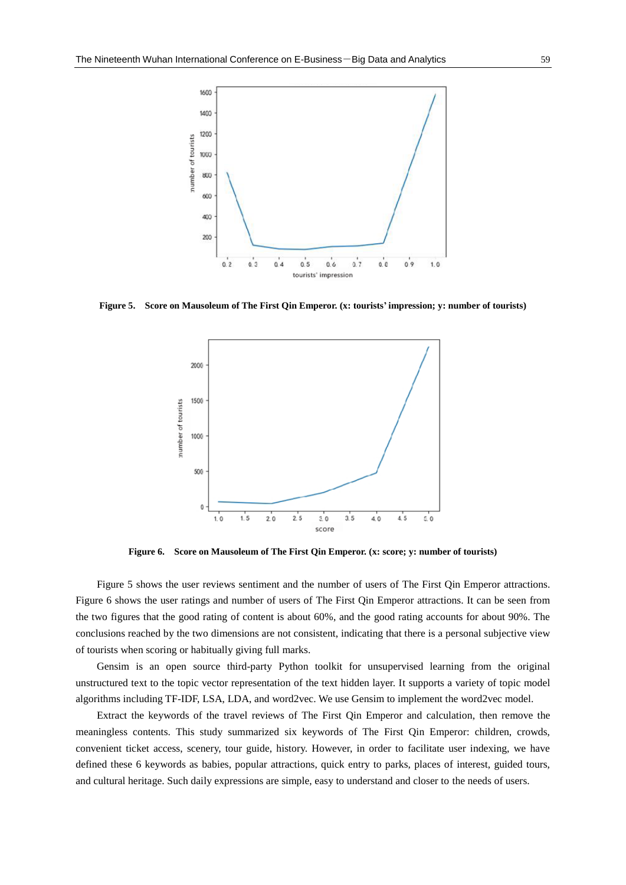

**Figure 5. Score on Mausoleum of The First Qin Emperor. (x: tourists' impression; y: number of tourists)**



**Figure 6. Score on Mausoleum of The First Qin Emperor. (x: score; y: number of tourists)**

Figure 5 shows the user reviews sentiment and the number of users of The First Qin Emperor attractions. Figure 6 shows the user ratings and number of users of The First Qin Emperor attractions. It can be seen from the two figures that the good rating of content is about 60%, and the good rating accounts for about 90%. The conclusions reached by the two dimensions are not consistent, indicating that there is a personal subjective view of tourists when scoring or habitually giving full marks.

Gensim is an open source third-party Python toolkit for unsupervised learning from the original unstructured text to the topic vector representation of the text hidden layer. It supports a variety of topic model algorithms including TF-IDF, LSA, LDA, and word2vec. We use Gensim to implement the word2vec model.

Extract the keywords of the travel reviews of The First Qin Emperor and calculation, then remove the meaningless contents. This study summarized six keywords of The First Qin Emperor: children, crowds, convenient ticket access, scenery, tour guide, history. However, in order to facilitate user indexing, we have defined these 6 keywords as babies, popular attractions, quick entry to parks, places of interest, guided tours, and cultural heritage. Such daily expressions are simple, easy to understand and closer to the needs of users.